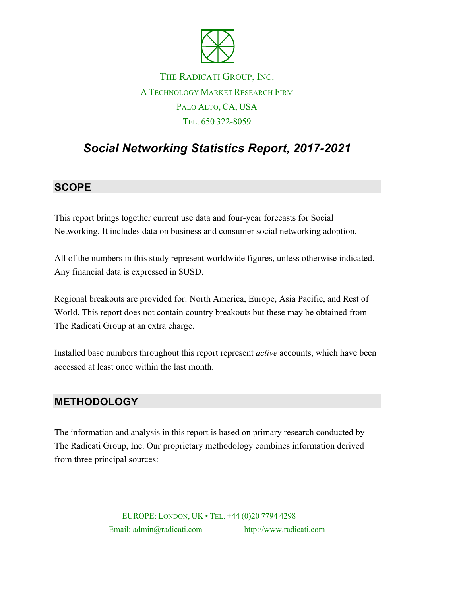

## THE RADICATI GROUP, INC. A TECHNOLOGY MARKET RESEARCH FIRM PALO ALTO, CA, USA TEL. 650 322-8059

# *Social Networking Statistics Report, 2017-2021*

#### **SCOPE**

This report brings together current use data and four-year forecasts for Social Networking. It includes data on business and consumer social networking adoption.

All of the numbers in this study represent worldwide figures, unless otherwise indicated. Any financial data is expressed in \$USD.

Regional breakouts are provided for: North America, Europe, Asia Pacific, and Rest of World. This report does not contain country breakouts but these may be obtained from The Radicati Group at an extra charge.

Installed base numbers throughout this report represent *active* accounts, which have been accessed at least once within the last month.

#### **METHODOLOGY**

The information and analysis in this report is based on primary research conducted by The Radicati Group, Inc. Our proprietary methodology combines information derived from three principal sources:

> EUROPE: LONDON, UK • TEL. +44 (0)20 7794 4298 Email: admin@radicati.com http://www.radicati.com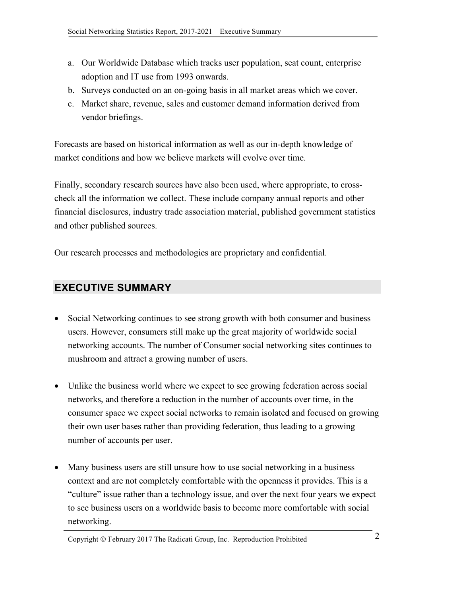- a. Our Worldwide Database which tracks user population, seat count, enterprise adoption and IT use from 1993 onwards.
- b. Surveys conducted on an on-going basis in all market areas which we cover.
- c. Market share, revenue, sales and customer demand information derived from vendor briefings.

Forecasts are based on historical information as well as our in-depth knowledge of market conditions and how we believe markets will evolve over time.

Finally, secondary research sources have also been used, where appropriate, to crosscheck all the information we collect. These include company annual reports and other financial disclosures, industry trade association material, published government statistics and other published sources.

Our research processes and methodologies are proprietary and confidential.

#### **EXECUTIVE SUMMARY**

- Social Networking continues to see strong growth with both consumer and business users. However, consumers still make up the great majority of worldwide social networking accounts. The number of Consumer social networking sites continues to mushroom and attract a growing number of users.
- Unlike the business world where we expect to see growing federation across social networks, and therefore a reduction in the number of accounts over time, in the consumer space we expect social networks to remain isolated and focused on growing their own user bases rather than providing federation, thus leading to a growing number of accounts per user.
- Many business users are still unsure how to use social networking in a business context and are not completely comfortable with the openness it provides. This is a "culture" issue rather than a technology issue, and over the next four years we expect to see business users on a worldwide basis to become more comfortable with social networking.

Copyright  $\odot$  February 2017 The Radicati Group, Inc. Reproduction Prohibited 2